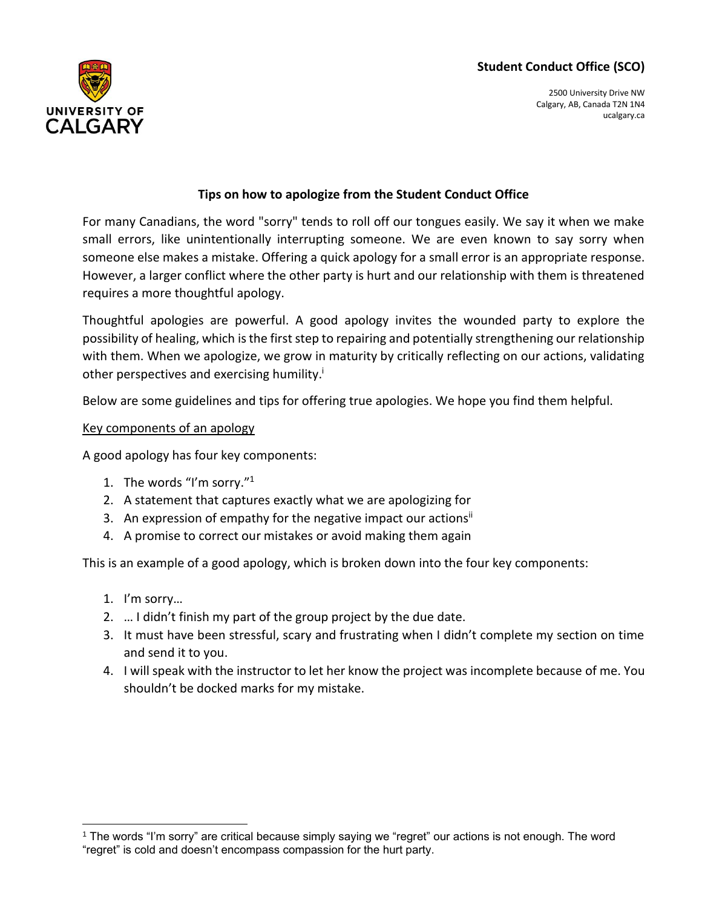# **Student Conduct Office (SCO)**



2500 University Drive NW Calgary, AB, Canada T2N 1N4 ucalgary.ca

## **Tips on how to apologize from the Student Conduct Office**

For many Canadians, the word "sorry" tends to roll off our tongues easily. We say it when we make small errors, like unintentionally interrupting someone. We are even known to say sorry when someone else makes a mistake. Offering a quick apology for a small error is an appropriate response. However, a larger conflict where the other party is hurt and our relationship with them is threatened requires a more thoughtful apology.

Thoughtful apologies are powerful. A good apology invites the wounded party to explore the possibility of healing, which is the first step to repairing and potentially strengthening our relationship with them. When we apologize, we grow in maturity by critically reflecting on our actions, validating other perspectives and exercising humility.<sup>i</sup>

Below are some guidelines and tips for offering true apologies. We hope you find them helpful.

### Key components of an apology

A good apology has four key components:

- 1. The words "I'm sorry." 1
- 2. A statement that captures exactly what we are apologizing for
- 3. An expression of empathy for the negative impact our actions<sup>ii</sup>
- 4. A promise to correct our mistakes or avoid making them again

This is an example of a good apology, which is broken down into the four key components:

- 1. I'm sorry…
- 2. … I didn't finish my part of the group project by the due date.
- 3. It must have been stressful, scary and frustrating when I didn't complete my section on time and send it to you.
- 4. I will speak with the instructor to let her know the project was incomplete because of me. You shouldn't be docked marks for my mistake.

<sup>1</sup> The words "I'm sorry" are critical because simply saying we "regret" our actions is not enough. The word "regret" is cold and doesn't encompass compassion for the hurt party.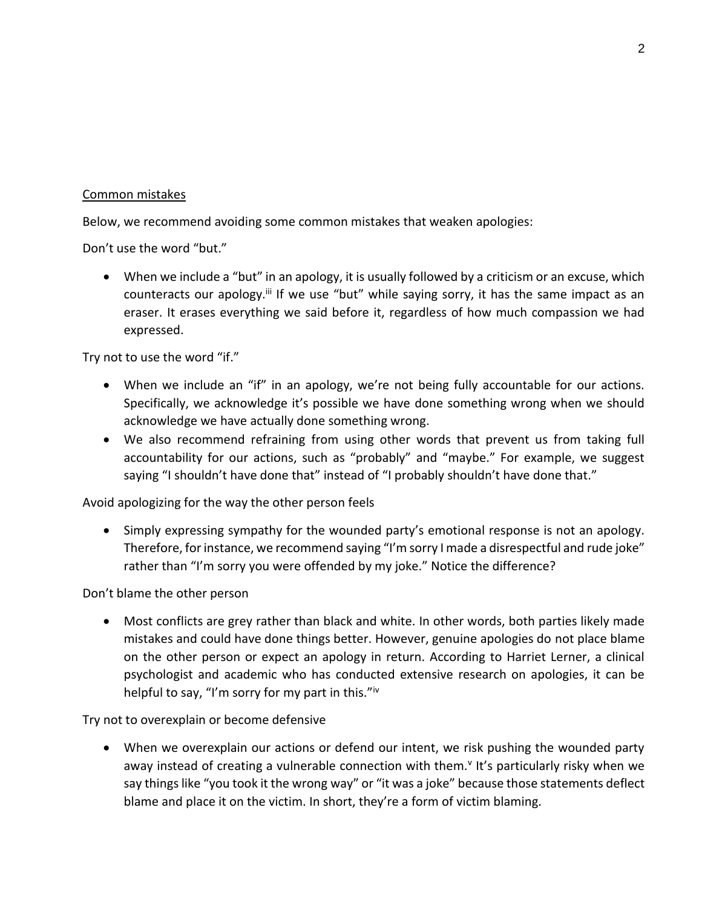### Common mistakes

Below, we recommend avoiding some common mistakes that weaken apologies:

Don't use the word "but."

• When we include a "but" in an apology, it is usually followed by a criticism or an excuse, which counteracts our apology.<sup>iii</sup> If we use "but" while saying sorry, it has the same impact as an eraser. It erases everything we said before it, regardless of how much compassion we had expressed.

Try not to use the word "if."

- When we include an "if" in an apology, we're not being fully accountable for our actions. Specifically, we acknowledge it's possible we have done something wrong when we should acknowledge we have actually done something wrong.
- We also recommend refraining from using other words that prevent us from taking full accountability for our actions, such as "probably" and "maybe." For example, we suggest saying "I shouldn't have done that" instead of "I probably shouldn't have done that."

Avoid apologizing for the way the other person feels

• Simply expressing sympathy for the wounded party's emotional response is not an apology. Therefore, for instance, we recommend saying "I'm sorry I made a disrespectful and rude joke" rather than "I'm sorry you were offended by my joke." Notice the difference?

Don't blame the other person

• Most conflicts are grey rather than black and white. In other words, both parties likely made mistakes and could have done things better. However, genuine apologies do not place blame on the other person or expect an apology in return. According to Harriet Lerner, a clinical psychologist and academic who has conducted extensive research on apologies, it can be helpful to say, "I'm sorry for my part in this."iv

Try not to overexplain or become defensive

• When we overexplain our actions or defend our intent, we risk pushing the wounded party away instead of creating a vulnerable connection with them.<sup>v</sup> It's particularly risky when we say things like "you took it the wrong way" or "it was a joke" because those statements deflect blame and place it on the victim. In short, they're a form of victim blaming.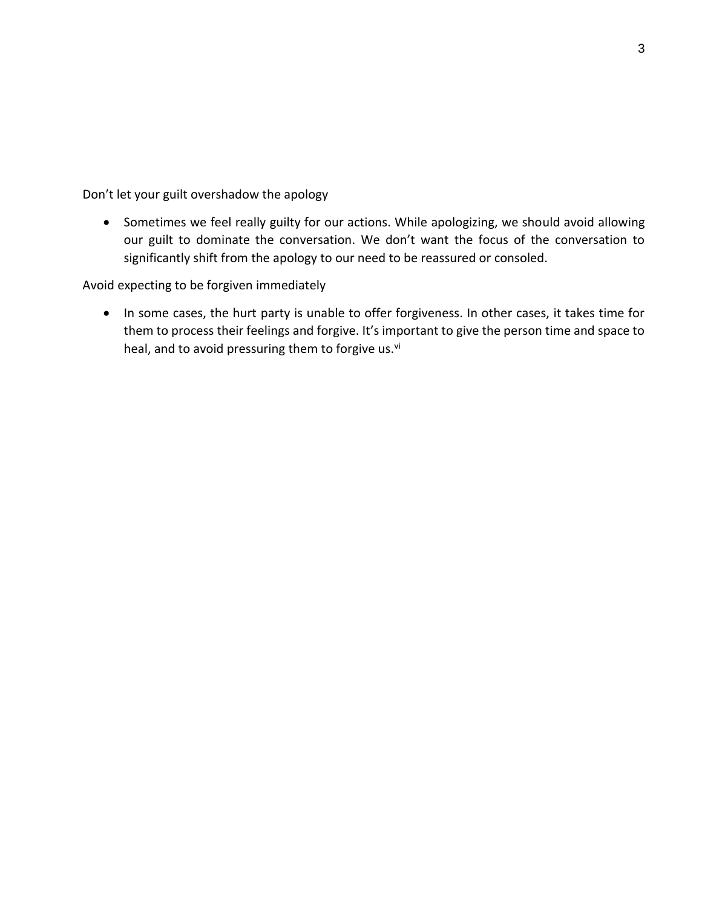Don't let your guilt overshadow the apology

• Sometimes we feel really guilty for our actions. While apologizing, we should avoid allowing our guilt to dominate the conversation. We don't want the focus of the conversation to significantly shift from the apology to our need to be reassured or consoled.

Avoid expecting to be forgiven immediately

• In some cases, the hurt party is unable to offer forgiveness. In other cases, it takes time for them to process their feelings and forgive. It's important to give the person time and space to heal, and to avoid pressuring them to forgive us.<sup>vi</sup>